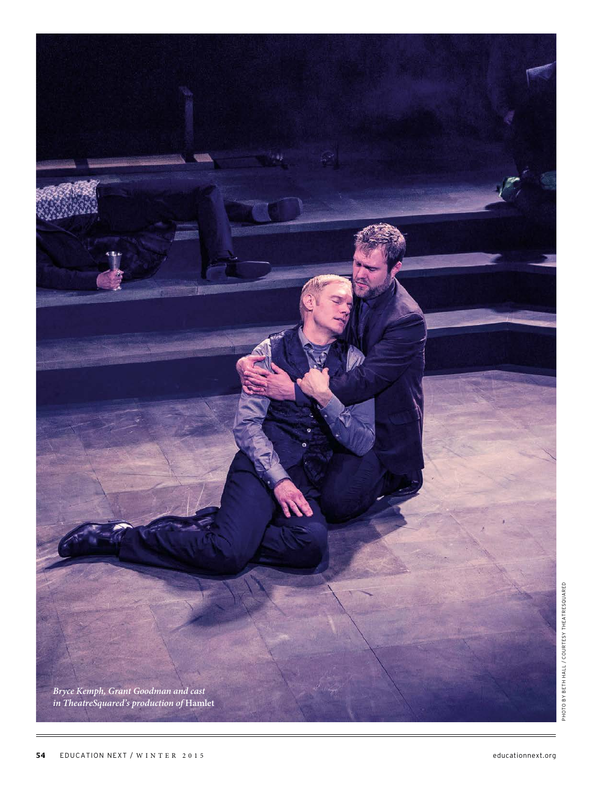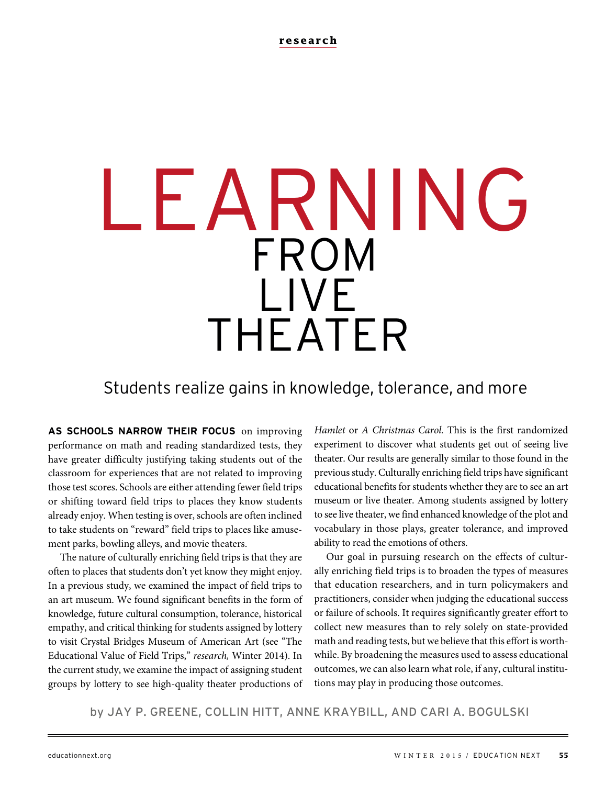# LEARNING FROM LIVE THEATER

Students realize gains in knowledge, tolerance, and more

**AS SCHOOLS NARROW THEIR FOCUS** on improving performance on math and reading standardized tests, they have greater difficulty justifying taking students out of the classroom for experiences that are not related to improving those test scores. Schools are either attending fewer field trips or shifting toward field trips to places they know students already enjoy. When testing is over, schools are often inclined to take students on "reward" field trips to places like amusement parks, bowling alleys, and movie theaters.

The nature of culturally enriching field trips is that they are often to places that students don't yet know they might enjoy. In a previous study, we examined the impact of field trips to an art museum. We found significant benefits in the form of knowledge, future cultural consumption, tolerance, historical empathy, and critical thinking for students assigned by lottery to visit Crystal Bridges Museum of American Art (see "The Educational Value of Field Trips," research, Winter 2014). In the current study, we examine the impact of assigning student groups by lottery to see high-quality theater productions of Hamlet or A Christmas Carol. This is the first randomized experiment to discover what students get out of seeing live theater. Our results are generally similar to those found in the previous study. Culturally enriching field trips have significant educational benefits for students whether they are to see an art museum or live theater. Among students assigned by lottery to see live theater, we find enhanced knowledge of the plot and vocabulary in those plays, greater tolerance, and improved ability to read the emotions of others.

Our goal in pursuing research on the effects of culturally enriching field trips is to broaden the types of measures that education researchers, and in turn policymakers and practitioners, consider when judging the educational success or failure of schools. It requires significantly greater effort to collect new measures than to rely solely on state-provided math and reading tests, but we believe that this effort is worthwhile. By broadening the measures used to assess educational outcomes, we can also learn what role, if any, cultural institutions may play in producing those outcomes.

by JAY P. GREENE, COLLIN HITT, ANNE KRAYBILL, AND CARI A. BOGULSKI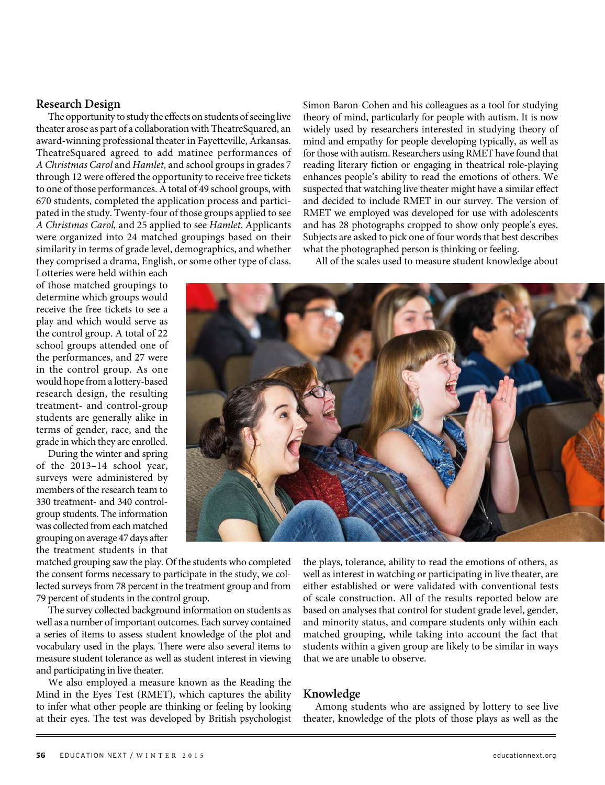#### **Research Design**

The opportunity to study the effects on students of seeing live theater arose as part of a collaboration with TheatreSquared, an award-winning professional theater in Fayetteville, Arkansas. TheatreSquared agreed to add matinee performances of A Christmas Carol and Hamlet, and school groups in grades 7 through 12 were offered the opportunity to receive free tickets to one of those performances. A total of 49 school groups, with 670 students, completed the application process and participated in the study. Twenty-four of those groups applied to see A Christmas Carol, and 25 applied to see Hamlet. Applicants were organized into 24 matched groupings based on their similarity in terms of grade level, demographics, and whether they comprised a drama, English, or some other type of class.

Simon Baron-Cohen and his colleagues as a tool for studying theory of mind, particularly for people with autism. It is now widely used by researchers interested in studying theory of mind and empathy for people developing typically, as well as for those with autism. Researchers using RMET have found that reading literary fiction or engaging in theatrical role-playing enhances people's ability to read the emotions of others. We suspected that watching live theater might have a similar effect and decided to include RMET in our survey. The version of RMET we employed was developed for use with adolescents and has 28 photographs cropped to show only people's eyes. Subjects are asked to pick one of four words that best describes what the photographed person is thinking or feeling.

All of the scales used to measure student knowledge about

Lotteries were held within each of those matched groupings to determine which groups would receive the free tickets to see a play and which would serve as the control group. A total of 22 school groups attended one of the performances, and 27 were in the control group. As one would hope from a lottery-based research design, the resulting treatment- and control-group students are generally alike in terms of gender, race, and the grade in which they are enrolled.

During the winter and spring of the 2013–14 school year, surveys were administered by members of the research team to 330 treatment- and 340 controlgroup students. The information was collected from each matched grouping on average 47 days after the treatment students in that

matched grouping saw the play. Of the students who completed the consent forms necessary to participate in the study, we collected surveys from 78 percent in the treatment group and from 79 percent of students in the control group.

The survey collected background information on students as well as a number of important outcomes. Each survey contained a series of items to assess student knowledge of the plot and vocabulary used in the plays. There were also several items to measure student tolerance as well as student interest in viewing and participating in live theater.

We also employed a measure known as the Reading the Mind in the Eyes Test (RMET), which captures the ability to infer what other people are thinking or feeling by looking at their eyes. The test was developed by British psychologist



the plays, tolerance, ability to read the emotions of others, as well as interest in watching or participating in live theater, are either established or were validated with conventional tests of scale construction. All of the results reported below are based on analyses that control for student grade level, gender, and minority status, and compare students only within each matched grouping, while taking into account the fact that students within a given group are likely to be similar in ways that we are unable to observe.

## **Knowledge**

Among students who are assigned by lottery to see live theater, knowledge of the plots of those plays as well as the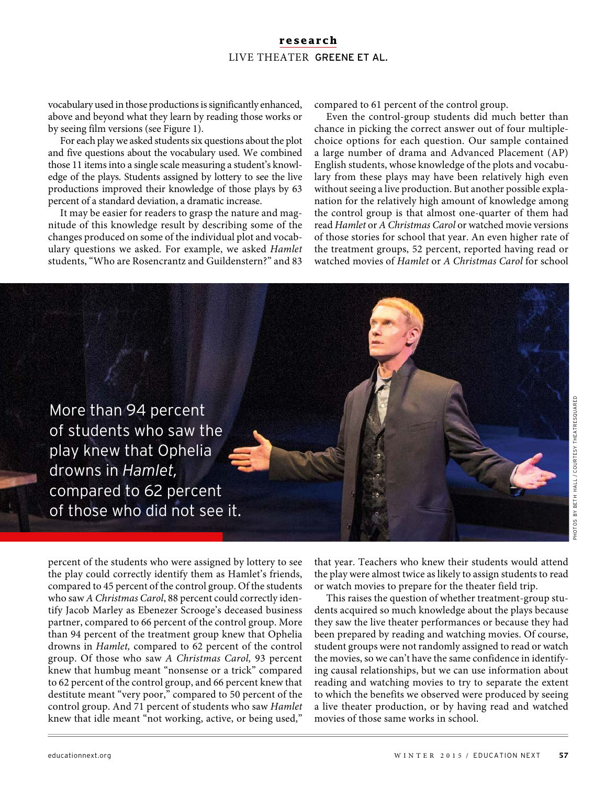# **research** LIVE THEATER GREENE ET AL.

vocabulary used in those productions is significantly enhanced, above and beyond what they learn by reading those works or by seeing film versions (see Figure 1).

For each play we asked students six questions about the plot and five questions about the vocabulary used. We combined those 11 items into a single scale measuring a student's knowledge of the plays. Students assigned by lottery to see the live productions improved their knowledge of those plays by 63 percent of a standard deviation, a dramatic increase.

It may be easier for readers to grasp the nature and magnitude of this knowledge result by describing some of the changes produced on some of the individual plot and vocabulary questions we asked. For example, we asked Hamlet students, "Who are Rosencrantz and Guildenstern?" and 83

compared to 61 percent of the control group.

Even the control-group students did much better than chance in picking the correct answer out of four multiplechoice options for each question. Our sample contained a large number of drama and Advanced Placement (AP) English students, whose knowledge of the plots and vocabulary from these plays may have been relatively high even without seeing a live production. But another possible explanation for the relatively high amount of knowledge among the control group is that almost one-quarter of them had read Hamlet or A Christmas Carol or watched movie versions of those stories for school that year. An even higher rate of the treatment groups, 52 percent, reported having read or watched movies of Hamlet or A Christmas Carol for school



percent of the students who were assigned by lottery to see the play could correctly identify them as Hamlet's friends, compared to 45 percent of the control group. Of the students who saw A Christmas Carol, 88 percent could correctly identify Jacob Marley as Ebenezer Scrooge's deceased business partner, compared to 66 percent of the control group. More than 94 percent of the treatment group knew that Ophelia drowns in Hamlet, compared to 62 percent of the control group. Of those who saw A Christmas Carol, 93 percent knew that humbug meant "nonsense or a trick" compared to 62 percent of the control group, and 66 percent knew that destitute meant "very poor," compared to 50 percent of the control group. And 71 percent of students who saw Hamlet knew that idle meant "not working, active, or being used,"

that year. Teachers who knew their students would attend the play were almost twice as likely to assign students to read or watch movies to prepare for the theater field trip.

This raises the question of whether treatment-group students acquired so much knowledge about the plays because they saw the live theater performances or because they had been prepared by reading and watching movies. Of course, student groups were not randomly assigned to read or watch the movies, so we can't have the same confidence in identifying causal relationships, but we can use information about reading and watching movies to try to separate the extent to which the benefits we observed were produced by seeing a live theater production, or by having read and watched movies of those same works in school.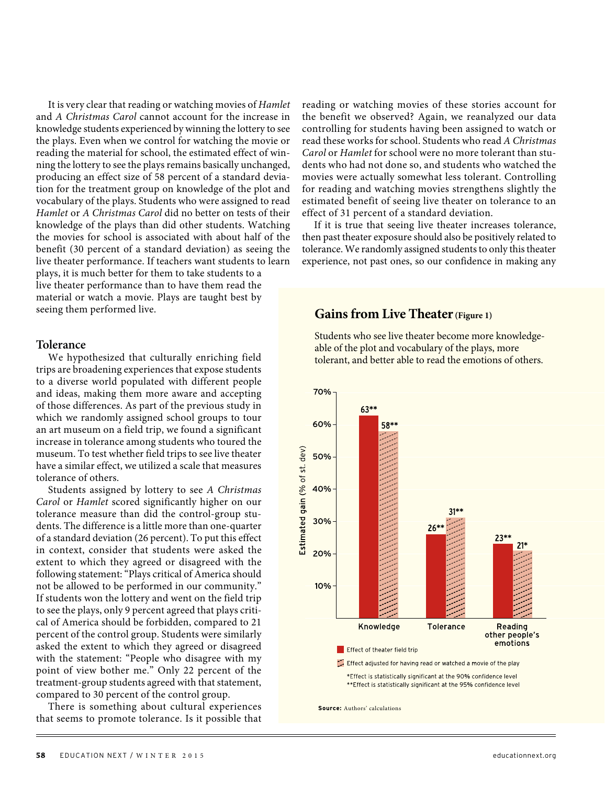It is very clear that reading or watching movies of Hamlet and A Christmas Carol cannot account for the increase in knowledge students experienced by winning the lottery to see the plays. Even when we control for watching the movie or reading the material for school, the estimated effect of winning the lottery to see the plays remains basically unchanged, producing an effect size of 58 percent of a standard deviation for the treatment group on knowledge of the plot and vocabulary of the plays. Students who were assigned to read Hamlet or A Christmas Carol did no better on tests of their knowledge of the plays than did other students. Watching the movies for school is associated with about half of the benefit (30 percent of a standard deviation) as seeing the live theater performance. If teachers want students to learn plays, it is much better for them to take students to a

live theater performance than to have them read the material or watch a movie. Plays are taught best by seeing them performed live.

## **Tolerance**

We hypothesized that culturally enriching field trips are broadening experiences that expose students to a diverse world populated with different people and ideas, making them more aware and accepting of those differences. As part of the previous study in which we randomly assigned school groups to tour an art museum on a field trip, we found a significant increase in tolerance among students who toured the museum. To test whether field trips to see live theater have a similar effect, we utilized a scale that measures tolerance of others.

Students assigned by lottery to see A Christmas Carol or Hamlet scored significantly higher on our tolerance measure than did the control-group students. The difference is a little more than one-quarter of a standard deviation (26 percent). To put this effect in context, consider that students were asked the extent to which they agreed or disagreed with the following statement: "Plays critical of America should not be allowed to be performed in our community." If students won the lottery and went on the field trip to see the plays, only 9 percent agreed that plays critical of America should be forbidden, compared to 21 percent of the control group. Students were similarly asked the extent to which they agreed or disagreed with the statement: "People who disagree with my point of view bother me." Only 22 percent of the treatment-group students agreed with that statement, compared to 30 percent of the control group.

There is something about cultural experiences that seems to promote tolerance. Is it possible that reading or watching movies of these stories account for the benefit we observed? Again, we reanalyzed our data controlling for students having been assigned to watch or read these works for school. Students who read A Christmas Carol or Hamlet for school were no more tolerant than students who had not done so, and students who watched the movies were actually somewhat less tolerant. Controlling for reading and watching movies strengthens slightly the estimated benefit of seeing live theater on tolerance to an effect of 31 percent of a standard deviation.

If it is true that seeing live theater increases tolerance, then past theater exposure should also be positively related to tolerance. We randomly assigned students to only this theater experience, not past ones, so our confidence in making any

# **Gains from Live Theater (Figure 1)**

Students who see live theater become more knowledgeable of the plot and vocabulary of the plays, more tolerant, and better able to read the emotions of others.



**Source:** Authors' calculations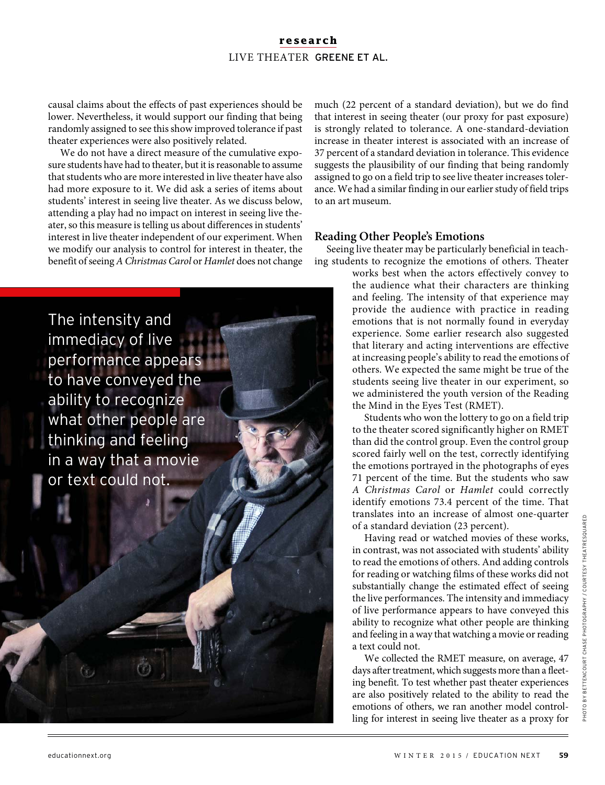# **research** LIVE THEATER GREENE ET AL.

causal claims about the effects of past experiences should be lower. Nevertheless, it would support our finding that being randomly assigned to see this show improved tolerance if past theater experiences were also positively related.

We do not have a direct measure of the cumulative exposure students have had to theater, but it is reasonable to assume that students who are more interested in live theater have also had more exposure to it. We did ask a series of items about students' interest in seeing live theater. As we discuss below, attending a play had no impact on interest in seeing live theater, so this measure is telling us about differences in students' interest in live theater independent of our experiment. When we modify our analysis to control for interest in theater, the benefit of seeing A Christmas Carol or Hamlet does not change

The intensity and immediacy of live performance appears to have conveyed the ability to recognize what other people are thinking and feeling in a way that a movie or text could not.

much (22 percent of a standard deviation), but we do find that interest in seeing theater (our proxy for past exposure) is strongly related to tolerance. A one-standard-deviation increase in theater interest is associated with an increase of 37 percent of a standard deviation in tolerance. This evidence suggests the plausibility of our finding that being randomly assigned to go on a field trip to see live theater increases tolerance. We had a similar finding in our earlier study of field trips to an art museum.

## **Reading Other People's Emotions**

Seeing live theater may be particularly beneficial in teaching students to recognize the emotions of others. Theater

> works best when the actors effectively convey to the audience what their characters are thinking and feeling. The intensity of that experience may provide the audience with practice in reading emotions that is not normally found in everyday experience. Some earlier research also suggested that literary and acting interventions are effective at increasing people's ability to read the emotions of others. We expected the same might be true of the students seeing live theater in our experiment, so we administered the youth version of the Reading the Mind in the Eyes Test (RMET).

> Students who won the lottery to go on a field trip to the theater scored significantly higher on RMET than did the control group. Even the control group scored fairly well on the test, correctly identifying the emotions portrayed in the photographs of eyes 71 percent of the time. But the students who saw A Christmas Carol or Hamlet could correctly identify emotions 73.4 percent of the time. That translates into an increase of almost one-quarter of a standard deviation (23 percent).

> Having read or watched movies of these works, in contrast, was not associated with students' ability to read the emotions of others. And adding controls for reading or watching films of these works did not substantially change the estimated effect of seeing the live performances. The intensity and immediacy of live performance appears to have conveyed this ability to recognize what other people are thinking and feeling in a way that watching a movie or reading a text could not.

> We collected the RMET measure, on average, 47 days after treatment, which suggests more than a fleeting benefit. To test whether past theater experiences are also positively related to the ability to read the emotions of others, we ran another model controlling for interest in seeing live theater as a proxy for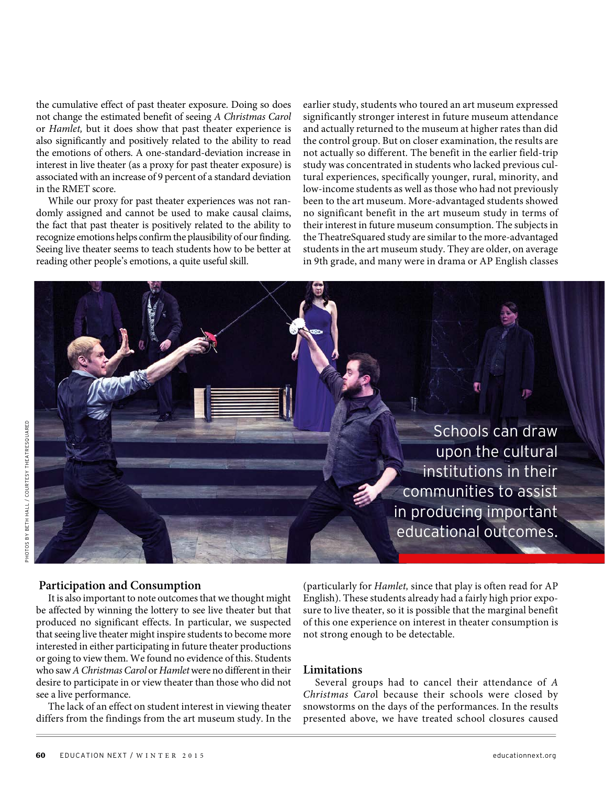the cumulative effect of past theater exposure. Doing so does not change the estimated benefit of seeing A Christmas Carol or Hamlet, but it does show that past theater experience is also significantly and positively related to the ability to read the emotions of others. A one-standard-deviation increase in interest in live theater (as a proxy for past theater exposure) is associated with an increase of 9 percent of a standard deviation in the RMET score.

While our proxy for past theater experiences was not randomly assigned and cannot be used to make causal claims, the fact that past theater is positively related to the ability to recognize emotions helps confirm the plausibility of our finding. Seeing live theater seems to teach students how to be better at reading other people's emotions, a quite useful skill.

earlier study, students who toured an art museum expressed significantly stronger interest in future museum attendance and actually returned to the museum at higher rates than did the control group. But on closer examination, the results are not actually so different. The benefit in the earlier field-trip study was concentrated in students who lacked previous cultural experiences, specifically younger, rural, minority, and low-income students as well as those who had not previously been to the art museum. More-advantaged students showed no significant benefit in the art museum study in terms of their interest in future museum consumption. The subjects in the TheatreSquared study are similar to the more-advantaged students in the art museum study. They are older, on average in 9th grade, and many were in drama or AP English classes

> Schools can draw upon the cultural institutions in their communities to assist in producing important educational outcomes.

#### **Participation and Consumption**

It is also important to note outcomes that we thought might be affected by winning the lottery to see live theater but that produced no significant effects. In particular, we suspected that seeing live theater might inspire students to become more interested in either participating in future theater productions or going to view them. We found no evidence of this. Students who saw A Christmas Carol or Hamlet were no different in their desire to participate in or view theater than those who did not see a live performance.

The lack of an effect on student interest in viewing theater differs from the findings from the art museum study. In the

(particularly for Hamlet, since that play is often read for AP English). These students already had a fairly high prior exposure to live theater, so it is possible that the marginal benefit of this one experience on interest in theater consumption is not strong enough to be detectable.

### **Limitations**

Several groups had to cancel their attendance of A Christmas Carol because their schools were closed by snowstorms on the days of the performances. In the results presented above, we have treated school closures caused